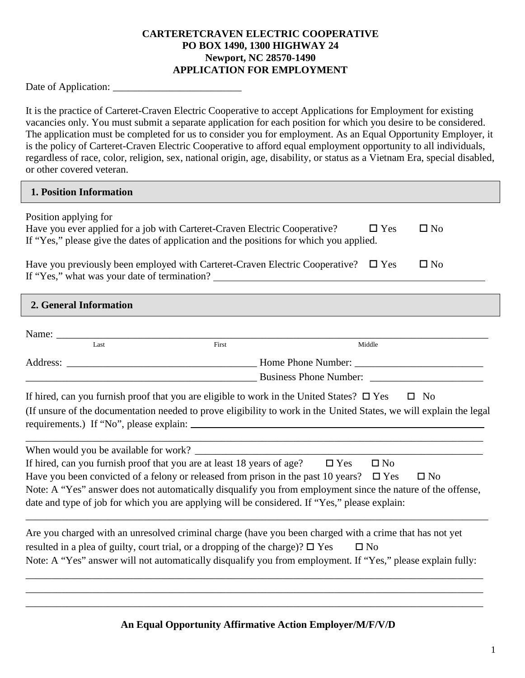## **CARTERETCRAVEN ELECTRIC COOPERATIVE PO BOX 1490, 1300 HIGHWAY 24 Newport, NC 28570-1490 APPLICATION FOR EMPLOYMENT**

Date of Application:

It is the practice of Carteret-Craven Electric Cooperative to accept Applications for Employment for existing vacancies only. You must submit a separate application for each position for which you desire to be considered. The application must be completed for us to consider you for employment. As an Equal Opportunity Employer, it is the policy of Carteret-Craven Electric Cooperative to afford equal employment opportunity to all individuals, regardless of race, color, religion, sex, national origin, age, disability, or status as a Vietnam Era, special disabled, or other covered veteran.

| 1. Position Information                                                                                                                                                                                                                                                                                          |       |              |              |
|------------------------------------------------------------------------------------------------------------------------------------------------------------------------------------------------------------------------------------------------------------------------------------------------------------------|-------|--------------|--------------|
| Position applying for<br>Have you ever applied for a job with Carteret-Craven Electric Cooperative?<br>If "Yes," please give the dates of application and the positions for which you applied.                                                                                                                   |       | $\Box$ Yes   | $\square$ No |
| Have you previously been employed with Carteret-Craven Electric Cooperative?<br>If "Yes," what was your date of termination? ___________________________________                                                                                                                                                 |       | $\Box$ Yes   | $\square$ No |
| 2. General Information                                                                                                                                                                                                                                                                                           |       |              |              |
| Name:                                                                                                                                                                                                                                                                                                            |       |              |              |
| Last                                                                                                                                                                                                                                                                                                             | First | Middle       |              |
|                                                                                                                                                                                                                                                                                                                  |       |              |              |
|                                                                                                                                                                                                                                                                                                                  |       |              |              |
| If hired, can you furnish proof that you are eligible to work in the United States? $\square$ Yes $\square$ No<br>(If unsure of the documentation needed to prove eligibility to work in the United States, we will explain the legal                                                                            |       |              |              |
| When would you be available for work?                                                                                                                                                                                                                                                                            |       |              |              |
| If hired, can you furnish proof that you are at least 18 years of age? $\square$ Yes                                                                                                                                                                                                                             |       | $\square$ No |              |
| Have you been convicted of a felony or released from prison in the past 10 years? $\Box$ Yes                                                                                                                                                                                                                     |       |              | $\square$ No |
| Note: A "Yes" answer does not automatically disqualify you from employment since the nature of the offense,<br>date and type of job for which you are applying will be considered. If "Yes," please explain:                                                                                                     |       |              |              |
|                                                                                                                                                                                                                                                                                                                  |       |              |              |
| Are you charged with an unresolved criminal charge (have you been charged with a crime that has not yet<br>resulted in a plea of guilty, court trial, or a dropping of the charge)? $\square$ Yes<br>Note: A "Yes" answer will not automatically disqualify you from employment. If "Yes," please explain fully: |       | $\square$ No |              |
|                                                                                                                                                                                                                                                                                                                  |       |              |              |

## **An Equal Opportunity Affirmative Action Employer/M/F/V/D**

\_\_\_\_\_\_\_\_\_\_\_\_\_\_\_\_\_\_\_\_\_\_\_\_\_\_\_\_\_\_\_\_\_\_\_\_\_\_\_\_\_\_\_\_\_\_\_\_\_\_\_\_\_\_\_\_\_\_\_\_\_\_\_\_\_\_\_\_\_\_\_\_\_\_\_\_\_\_\_\_\_\_\_\_\_\_\_\_\_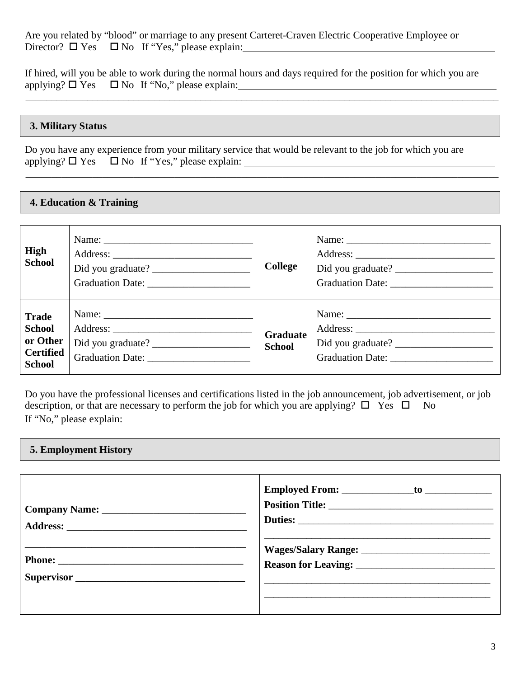Are you related by "blood" or marriage to any present Carteret-Craven Electric Cooperative Employee or Director?  $\Box$  Yes  $\Box$  No If "Yes," please explain:

If hired, will you be able to work during the normal hours and days required for the position for which you are applying?  $\Box$  Yes  $\Box$  No If "No," please explain:

\_\_\_\_\_\_\_\_\_\_\_\_\_\_\_\_\_\_\_\_\_\_\_\_\_\_\_\_\_\_\_\_\_\_\_\_\_\_\_\_\_\_\_\_\_\_\_\_\_\_\_\_\_\_\_\_\_\_\_\_\_\_\_\_\_\_\_\_\_\_\_\_\_\_\_\_\_\_\_\_\_\_\_\_\_\_\_\_\_\_\_\_

\_\_\_\_\_\_\_\_\_\_\_\_\_\_\_\_\_\_\_\_\_\_\_\_\_\_\_\_\_\_\_\_\_\_\_\_\_\_\_\_\_\_\_\_\_\_\_\_\_\_\_\_\_\_\_\_\_\_\_\_\_\_\_\_\_\_\_\_\_\_\_\_\_\_\_\_\_\_\_\_\_\_\_\_\_\_\_\_\_\_\_\_

### **3. Military Status**

Do you have any experience from your military service that would be relevant to the job for which you are applying?  $\Box$  Yes  $\Box$  No If "Yes," please explain:

#### **4. Education & Training**

| High<br><b>School</b>                                                          | Did you graduate?<br>Graduation Date: | College                          |                   |
|--------------------------------------------------------------------------------|---------------------------------------|----------------------------------|-------------------|
| <b>Trade</b><br><b>School</b><br>or Other<br><b>Certified</b><br><b>School</b> |                                       | <b>Graduate</b><br><b>School</b> | Did you graduate? |

Do you have the professional licenses and certifications listed in the job announcement, job advertisement, or job description, or that are necessary to perform the job for which you are applying?  $\Box$  Yes  $\Box$  No If "No," please explain: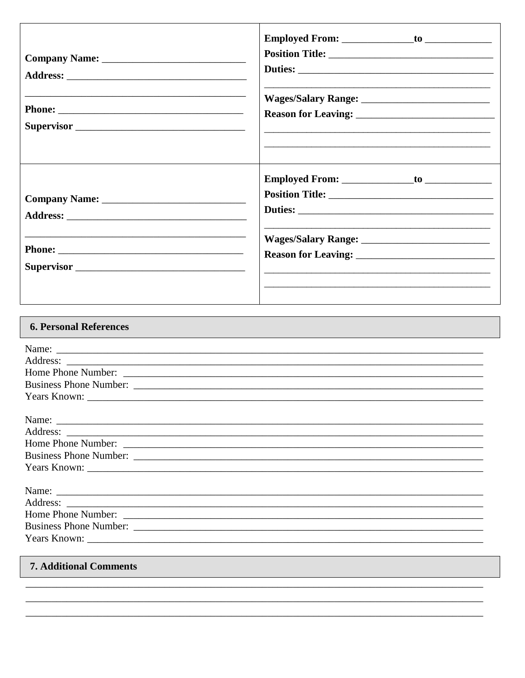٦

| <b>6. Personal References</b> |
|-------------------------------|
| Name:                         |
|                               |
|                               |
|                               |
|                               |
| Name:                         |
|                               |
|                               |
|                               |
|                               |
|                               |
|                               |
| Home Phone Number:            |
|                               |
|                               |
|                               |

# **7. Additional Comments**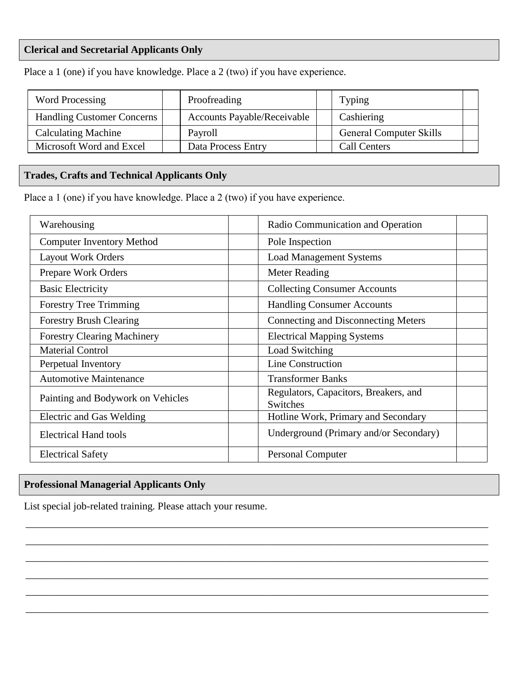## **Clerical and Secretarial Applicants Only**

| Word Processing                   | Proofreading                       | <b>Typing</b>                  |
|-----------------------------------|------------------------------------|--------------------------------|
| <b>Handling Customer Concerns</b> | <b>Accounts Payable/Receivable</b> | Cashiering                     |
| <b>Calculating Machine</b>        | Payroll                            | <b>General Computer Skills</b> |
| Microsoft Word and Excel          | Data Process Entry                 | <b>Call Centers</b>            |

Place a 1 (one) if you have knowledge. Place a 2 (two) if you have experience.

# **Trades, Crafts and Technical Applicants Only**

Place a 1 (one) if you have knowledge. Place a 2 (two) if you have experience.

| Warehousing                        | Radio Communication and Operation                 |
|------------------------------------|---------------------------------------------------|
| <b>Computer Inventory Method</b>   | Pole Inspection                                   |
| <b>Layout Work Orders</b>          | <b>Load Management Systems</b>                    |
| Prepare Work Orders                | Meter Reading                                     |
| <b>Basic Electricity</b>           | <b>Collecting Consumer Accounts</b>               |
| <b>Forestry Tree Trimming</b>      | <b>Handling Consumer Accounts</b>                 |
| <b>Forestry Brush Clearing</b>     | Connecting and Disconnecting Meters               |
| <b>Forestry Clearing Machinery</b> | <b>Electrical Mapping Systems</b>                 |
| <b>Material Control</b>            | Load Switching                                    |
| Perpetual Inventory                | Line Construction                                 |
| <b>Automotive Maintenance</b>      | <b>Transformer Banks</b>                          |
| Painting and Bodywork on Vehicles  | Regulators, Capacitors, Breakers, and<br>Switches |
| Electric and Gas Welding           | Hotline Work, Primary and Secondary               |
| <b>Electrical Hand tools</b>       | Underground (Primary and/or Secondary)            |
| <b>Electrical Safety</b>           | <b>Personal Computer</b>                          |

 \_\_\_\_\_\_\_\_\_\_\_\_\_\_\_\_\_\_\_\_\_\_\_\_\_\_\_\_\_\_\_\_\_\_\_\_\_\_\_\_\_\_\_\_\_\_\_\_\_\_\_\_\_\_\_\_\_\_\_\_\_\_\_\_\_\_\_\_\_\_\_\_\_\_\_\_\_\_\_\_\_\_\_\_\_\_\_\_\_\_ \_\_\_\_\_\_\_\_\_\_\_\_\_\_\_\_\_\_\_\_\_\_\_\_\_\_\_\_\_\_\_\_\_\_\_\_\_\_\_\_\_\_\_\_\_\_\_\_\_\_\_\_\_\_\_\_\_\_\_\_\_\_\_\_\_\_\_\_\_\_\_\_\_\_\_\_\_\_\_\_\_\_\_\_\_\_\_\_\_\_ \_\_\_\_\_\_\_\_\_\_\_\_\_\_\_\_\_\_\_\_\_\_\_\_\_\_\_\_\_\_\_\_\_\_\_\_\_\_\_\_\_\_\_\_\_\_\_\_\_\_\_\_\_\_\_\_\_\_\_\_\_\_\_\_\_\_\_\_\_\_\_\_\_\_\_\_\_\_\_\_\_\_\_\_\_\_\_\_\_\_ \_\_\_\_\_\_\_\_\_\_\_\_\_\_\_\_\_\_\_\_\_\_\_\_\_\_\_\_\_\_\_\_\_\_\_\_\_\_\_\_\_\_\_\_\_\_\_\_\_\_\_\_\_\_\_\_\_\_\_\_\_\_\_\_\_\_\_\_\_\_\_\_\_\_\_\_\_\_\_\_\_\_\_\_\_\_\_\_\_\_ \_\_\_\_\_\_\_\_\_\_\_\_\_\_\_\_\_\_\_\_\_\_\_\_\_\_\_\_\_\_\_\_\_\_\_\_\_\_\_\_\_\_\_\_\_\_\_\_\_\_\_\_\_\_\_\_\_\_\_\_\_\_\_\_\_\_\_\_\_\_\_\_\_\_\_\_\_\_\_\_\_\_\_\_\_\_\_\_\_\_ \_\_\_\_\_\_\_\_\_\_\_\_\_\_\_\_\_\_\_\_\_\_\_\_\_\_\_\_\_\_\_\_\_\_\_\_\_\_\_\_\_\_\_\_\_\_\_\_\_\_\_\_\_\_\_\_\_\_\_\_\_\_\_\_\_\_\_\_\_\_\_\_\_\_\_\_\_\_\_\_\_\_\_\_\_\_\_\_\_\_

# **Professional Managerial Applicants Only**

List special job-related training. Please attach your resume.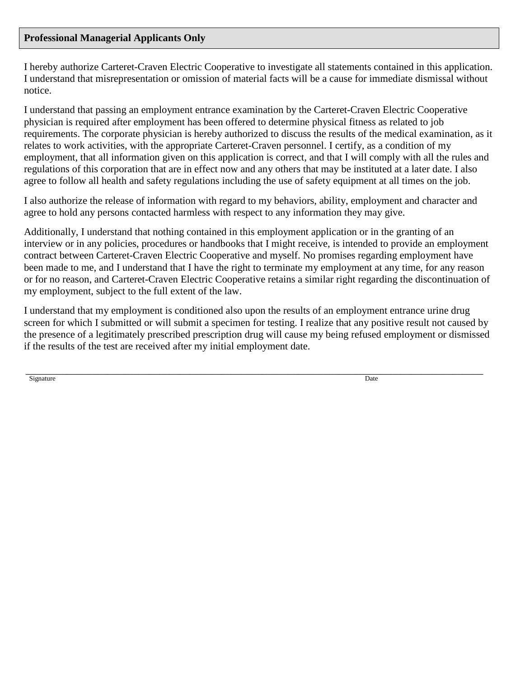#### **Professional Managerial Applicants Only**

I hereby authorize Carteret-Craven Electric Cooperative to investigate all statements contained in this application. I understand that misrepresentation or omission of material facts will be a cause for immediate dismissal without notice.

I understand that passing an employment entrance examination by the Carteret-Craven Electric Cooperative physician is required after employment has been offered to determine physical fitness as related to job requirements. The corporate physician is hereby authorized to discuss the results of the medical examination, as it relates to work activities, with the appropriate Carteret-Craven personnel. I certify, as a condition of my employment, that all information given on this application is correct, and that I will comply with all the rules and regulations of this corporation that are in effect now and any others that may be instituted at a later date. I also agree to follow all health and safety regulations including the use of safety equipment at all times on the job.

I also authorize the release of information with regard to my behaviors, ability, employment and character and agree to hold any persons contacted harmless with respect to any information they may give.

Additionally, I understand that nothing contained in this employment application or in the granting of an interview or in any policies, procedures or handbooks that I might receive, is intended to provide an employment contract between Carteret-Craven Electric Cooperative and myself. No promises regarding employment have been made to me, and I understand that I have the right to terminate my employment at any time, for any reason or for no reason, and Carteret-Craven Electric Cooperative retains a similar right regarding the discontinuation of my employment, subject to the full extent of the law.

I understand that my employment is conditioned also upon the results of an employment entrance urine drug screen for which I submitted or will submit a specimen for testing. I realize that any positive result not caused by the presence of a legitimately prescribed prescription drug will cause my being refused employment or dismissed if the results of the test are received after my initial employment date.

 \_\_\_\_\_\_\_\_\_\_\_\_\_\_\_\_\_\_\_\_\_\_\_\_\_\_\_\_\_\_\_\_\_\_\_\_\_\_\_\_\_\_\_\_\_\_\_\_\_\_\_\_\_\_\_\_\_\_\_\_\_\_\_\_\_\_\_\_\_\_\_\_\_\_\_\_\_\_\_\_\_\_\_\_\_\_\_\_\_ Signature Date by the Contract of the Contract of the Contract of the Contract of the Date Date of the Contract of the Contract of the Contract of the Contract of the Contract of the Contract of the Contract of the Contrac